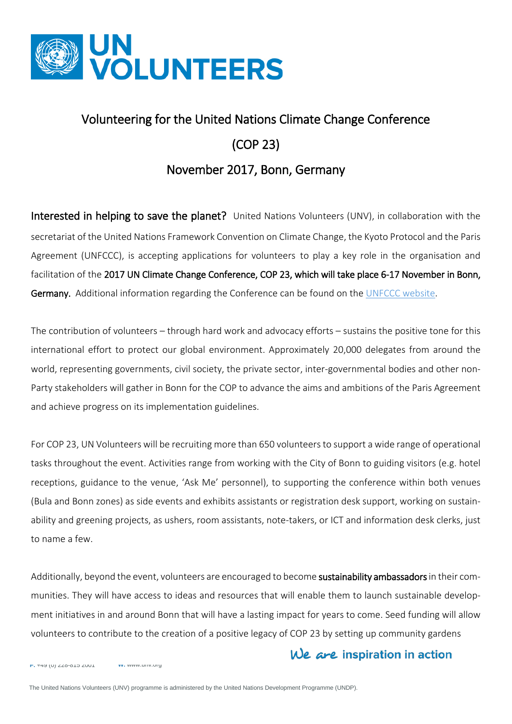

# Volunteering for the United Nations Climate Change Conference (COP 23)

## November 2017, Bonn, Germany

Interested in helping to save the planet? United Nations Volunteers (UNV), in collaboration with the secretariat of the United Nations Framework Convention on Climate Change, the Kyoto Protocol and the Paris Agreement (UNFCCC), is accepting applications for volunteers to play a key role in the organisation and facilitation of the 2017 UN Climate Change Conference, COP 23, which will take place 6-17 November in Bonn, Germany. Additional information regarding the Conference can be found on the [UNFCCC website.](http://newsroom.unfccc.int/cop-23-bonn)

The contribution of volunteers – through hard work and advocacy efforts – sustains the positive tone for this international effort to protect our global environment. Approximately 20,000 delegates from around the world, representing governments, civil society, the private sector, inter-governmental bodies and other non-Party stakeholders will gather in Bonn for the COP to advance the aims and ambitions of the [Paris Agreement](http://unfccc.int/paris_agreement/items/9485.php) and achieve progress on its implementation guidelines.

For COP 23, UN Volunteers will be recruiting more than 650 volunteers to support a wide range of operational tasks throughout the event. Activities range from working with the City of Bonn to guiding visitors (e.g. hotel receptions, guidance to the venue, 'Ask Me' personnel), to supporting the conference within both venues (Bula and Bonn zones) as side events and exhibits assistants or registration desk support, working on sustainability and greening projects, as ushers, room assistants, note-takers, or ICT and information desk clerks, just to name a few.

Additionally, beyond the event, volunteers are encouraged to become sustainability ambassadors in their communities. They will have access to ideas and resources that will enable them to launch sustainable development initiatives in and around Bonn that will have a lasting impact for years to come. Seed funding will allow volunteers to contribute to the creation of a positive legacy of COP 23 by setting up community gardens

## We are inspiration in action

**F.** +49 (0) 228-815 2001 **W.** www.unv.org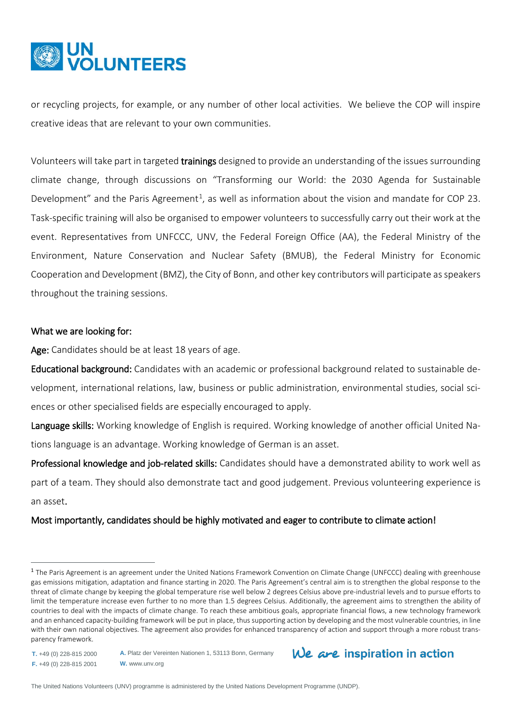

or recycling projects, for example, or any number of other local activities. We believe the COP will inspire creative ideas that are relevant to your own communities.

Volunteers will take part in targeted trainings designed to provide an understanding of the issues surrounding climate change, through discussions on "Transforming our World: the 2030 Agenda for Sustainable Development" and the Paris Agreement<sup>[1](#page-1-0)</sup>, as well as information about the vision and mandate for COP 23. Task-specific training will also be organised to empower volunteers to successfully carry out their work at the event. Representatives from UNFCCC, UNV, the Federal Foreign Office (AA), the Federal Ministry of the Environment, Nature Conservation and Nuclear Safety (BMUB), the Federal Ministry for Economic Cooperation and Development (BMZ), the City of Bonn, and other key contributors will participate as speakers throughout the training sessions.

#### What we are looking for:

Age: Candidates should be at least 18 years of age.

Educational background: Candidates with an academic or professional background related to sustainable development, international relations, law, business or public administration, environmental studies, social sciences or other specialised fields are especially encouraged to apply.

Language skills: Working knowledge of English is required. Working knowledge of another official United Nations language is an advantage. Working knowledge of German is an asset.

Professional knowledge and job-related skills: Candidates should have a demonstrated ability to work well as part of a team. They should also demonstrate tact and good judgement. Previous volunteering experience is an asset.

### Most importantly, candidates should be highly motivated and eager to contribute to climate action!

**T.** +49 (0) 228-815 2000 **F.** +49 (0) 228-815 2001

 $\overline{a}$ 

```
W. www.unv.org
```


The United Nations Volunteers (UNV) programme is administered by the United Nations Development Programme (UNDP).

**A.** Platz der Vereinten Nationen 1, 53113 Bonn, Germany

<span id="page-1-0"></span> $1$  The Paris Agreement is an agreement under the United Nations Framework Convention on Climate Change (UNFCCC) dealing with greenhouse gas emissions mitigation, adaptation and finance starting in 2020. The Paris Agreement's central aim is to strengthen the global response to the threat of climate change by keeping the global temperature rise well below 2 degrees Celsius above pre-industrial levels and to pursue efforts to limit the temperature increase even further to no more than 1.5 degrees Celsius. Additionally, the agreement aims to strengthen the ability of countries to deal with the impacts of climate change. To reach these ambitious goals, appropriate financial flows, a new technology framework and an enhanced capacity-building framework will be put in place, thus supporting action by developing and the most vulnerable countries, in line with their own national objectives. The agreement also provides for enhanced transparency of action and support through a more robust transparency framework.